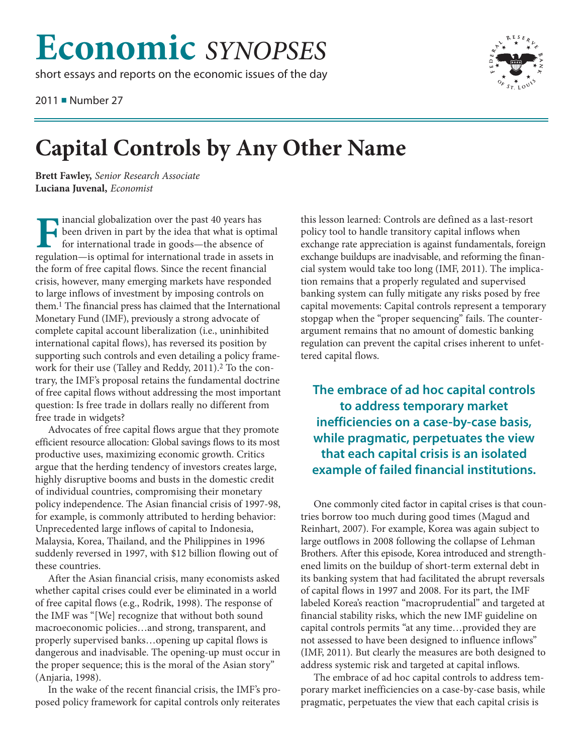## **Economic** *SYNOPSES*

short essays and reports on the economic issues of the day

2011 ■ Number 27



## **Capital Controls by Any Other Name**

**Brett Fawley,** *Senior Research Associate* **Luciana Juvenal,** *Economist*

**Financial globalization over the past 40 years has<br>been driven in part by the idea that what is option for international trade in goods—the absence of** been driven in part by the idea that what is optimal for international trade in goods—the absence of regulation—is optimal for international trade in assets in the form of free capital flows. Since the recent financial crisis, however, many emerging markets have responded to large inflows of investment by imposing controls on them.1 The financial press has claimed that the International Monetary Fund (IMF), previously a strong advocate of complete capital account liberalization (i.e., uninhibited international capital flows), has reversed its position by supporting such controls and even detailing a policy framework for their use (Talley and Reddy, 2011).<sup>2</sup> To the contrary, the IMF's proposal retains the fundamental doctrine of free capital flows without addressing the most important question: Is free trade in dollars really no different from free trade in widgets?

Advocates of free capital flows argue that they promote efficient resource allocation: Global savings flows to its most productive uses, maximizing economic growth. Critics argue that the herding tendency of investors creates large, highly disruptive booms and busts in the domestic credit of individual countries, compromising their monetary policy independence. The Asian financial crisis of 1997-98, for example, is commonly attributed to herding behavior: Unprecedented large inflows of capital to Indonesia, Malaysia, Korea, Thailand, and the Philippines in 1996 suddenly reversed in 1997, with \$12 billion flowing out of these countries.

After the Asian financial crisis, many economists asked whether capital crises could ever be eliminated in a world of free capital flows (e.g., Rodrik, 1998). The response of the IMF was "[We] recognize that without both sound macroeconomic policies…and strong, transparent, and properly supervised banks…opening up capital flows is dangerous and inadvisable. The opening-up must occur in the proper sequence; this is the moral of the Asian story" (Anjaria, 1998).

In the wake of the recent financial crisis, the IMF's proposed policy framework for capital controls only reiterates this lesson learned: Controls are defined as a last-resort policy tool to handle transitory capital inflows when exchange rate appreciation is against fundamentals, foreign exchange buildups are inadvisable, and reforming the financial system would take too long (IMF, 2011). The implication remains that a properly regulated and supervised banking system can fully mitigate any risks posed by free capital movements: Capital controls represent a temporary stopgap when the "proper sequencing" fails. The counterargument remains that no amount of domestic banking regulation can prevent the capital crises inherent to unfettered capital flows.

**The embrace of ad hoc capital controls to address temporary market inefficiencies on a case-by-case basis, while pragmatic, perpetuates the view that each capital crisis is an isolated example of failed financial institutions.**

One commonly cited factor in capital crises is that countries borrow too much during good times (Magud and Reinhart, 2007). For example, Korea was again subject to large outflows in 2008 following the collapse of Lehman Brothers. After this episode, Korea introduced and strengthened limits on the buildup of short-term external debt in its banking system that had facilitated the abrupt reversals of capital flows in 1997 and 2008. For its part, the IMF labeled Korea's reaction "macroprudential" and targeted at financial stability risks, which the new IMF guideline on capital controls permits "at any time…provided they are not assessed to have been designed to influence inflows" (IMF, 2011). But clearly the measures are both designed to address systemic risk and targeted at capital inflows.

The embrace of ad hoc capital controls to address temporary market inefficiencies on a case-by-case basis, while pragmatic, perpetuates the view that each capital crisis is